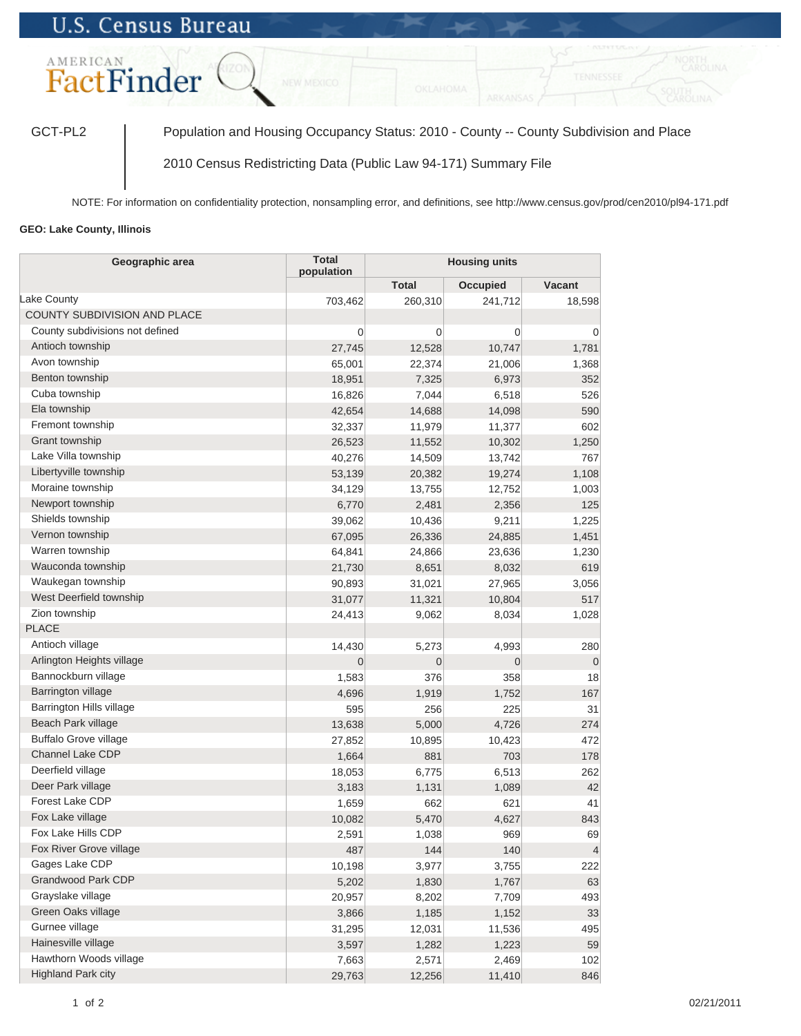## **U.S. Census Bureau**

## AMERICAN

GCT-PL2 | Population and Housing Occupancy Status: 2010 - County -- County Subdivision and Place

2010 Census Redistricting Data (Public Law 94-171) Summary File

NOTE: For information on confidentiality protection, nonsampling error, and definitions, see http://www.census.gov/prod/cen2010/pl94-171.pdf

## **GEO: Lake County, Illinois**

| Geographic area                 | <b>Total</b><br>population | <b>Housing units</b> |                 |                |
|---------------------------------|----------------------------|----------------------|-----------------|----------------|
|                                 |                            | <b>Total</b>         | <b>Occupied</b> | <b>Vacant</b>  |
| Lake County                     | 703,462                    | 260,310              | 241,712         | 18,598         |
| COUNTY SUBDIVISION AND PLACE    |                            |                      |                 |                |
| County subdivisions not defined | 0                          | 0                    | 0               | 0              |
| Antioch township                | 27,745                     | 12,528               | 10,747          | 1,781          |
| Avon township                   | 65,001                     | 22,374               | 21,006          | 1,368          |
| Benton township                 | 18,951                     | 7,325                | 6,973           | 352            |
| Cuba township                   | 16,826                     | 7,044                | 6,518           | 526            |
| Ela township                    | 42,654                     | 14,688               | 14,098          | 590            |
| Fremont township                | 32,337                     | 11,979               | 11,377          | 602            |
| Grant township                  | 26,523                     | 11,552               | 10,302          | 1,250          |
| Lake Villa township             | 40,276                     | 14,509               | 13,742          | 767            |
| Libertyville township           | 53,139                     | 20,382               | 19,274          | 1,108          |
| Moraine township                | 34,129                     | 13,755               | 12,752          | 1,003          |
| Newport township                | 6,770                      | 2,481                | 2,356           | 125            |
| Shields township                | 39,062                     | 10,436               | 9,211           | 1,225          |
| Vernon township                 | 67,095                     | 26,336               | 24,885          | 1,451          |
| Warren township                 | 64,841                     | 24,866               | 23,636          | 1,230          |
| Wauconda township               | 21,730                     | 8,651                | 8,032           | 619            |
| Waukegan township               | 90,893                     | 31,021               | 27,965          | 3,056          |
| West Deerfield township         | 31,077                     | 11,321               | 10,804          | 517            |
| Zion township                   | 24,413                     | 9,062                | 8,034           | 1,028          |
| <b>PLACE</b>                    |                            |                      |                 |                |
| Antioch village                 | 14,430                     | 5,273                | 4,993           | 280            |
| Arlington Heights village       | $\overline{0}$             | $\overline{0}$       | $\overline{0}$  | $\overline{0}$ |
| Bannockburn village             | 1,583                      | 376                  | 358             | 18             |
| Barrington village              | 4,696                      | 1,919                | 1,752           | 167            |
| Barrington Hills village        | 595                        | 256                  | 225             | 31             |
| Beach Park village              | 13,638                     | 5,000                | 4,726           | 274            |
| <b>Buffalo Grove village</b>    | 27,852                     | 10,895               | 10,423          | 472            |
| <b>Channel Lake CDP</b>         | 1,664                      | 881                  | 703             | 178            |
| Deerfield village               | 18,053                     | 6,775                | 6,513           | 262            |
| Deer Park village               | 3,183                      | 1,131                | 1,089           | 42             |
| Forest Lake CDP                 | 1,659                      | 662                  | 621             | 41             |
| Fox Lake village                | 10,082                     | 5,470                | 4,627           | 843            |
| Fox Lake Hills CDP              | 2.591                      | 1.038                | 969             | 69             |
| Fox River Grove village         | 487                        | 144                  | 140             | $\overline{4}$ |
| Gages Lake CDP                  | 10,198                     | 3,977                | 3,755           | 222            |
| Grandwood Park CDP              | 5,202                      | 1,830                | 1,767           | 63             |
| Grayslake village               | 20,957                     | 8,202                | 7,709           | 493            |
| Green Oaks village              | 3,866                      | 1,185                | 1,152           | 33             |
| Gurnee village                  | 31,295                     | 12,031               | 11,536          | 495            |
| Hainesville village             | 3,597                      | 1,282                | 1,223           | 59             |
| Hawthorn Woods village          | 7,663                      | 2,571                | 2,469           | 102            |
| Highland Park city              | 29,763                     | 12,256               | 11,410          | 846            |